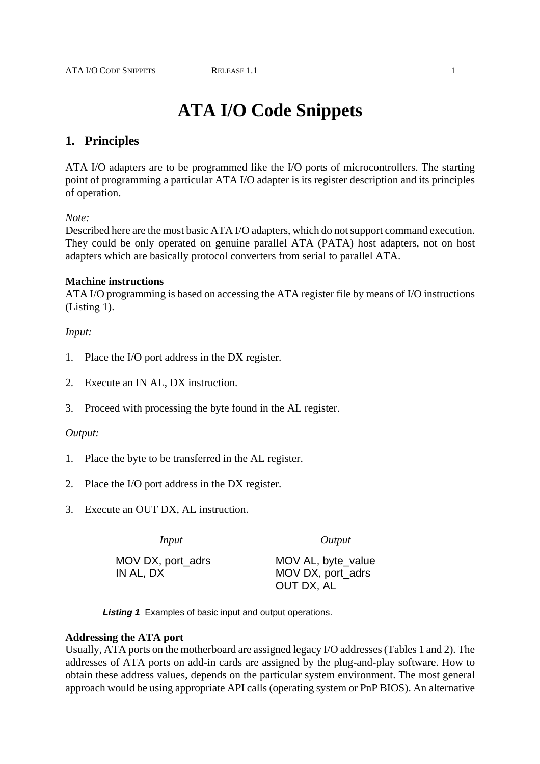# **ATA I/O Code Snippets**

# **1. Principles**

ATA I/O adapters are to be programmed like the I/O ports of microcontrollers. The starting point of programming a particular ATA I/O adapter is its register description and its principles of operation.

### *Note:*

Described here are the most basic ATA I/O adapters, which do not support command execution. They could be only operated on genuine parallel ATA (PATA) host adapters, not on host adapters which are basically protocol converters from serial to parallel ATA.

# **Machine instructions**

ATA I/O programming is based on accessing the ATA register file by means of I/O instructions (Listing 1).

# *Input:*

- 1. Place the I/O port address in the DX register.
- 2. Execute an IN AL, DX instruction.
- 3. Proceed with processing the byte found in the AL register.

### *Output:*

- 1. Place the byte to be transferred in the AL register.
- 2. Place the I/O port address in the DX register.
- 3. Execute an OUT DX, AL instruction.

*Input Output* 

MOV DX, port\_adrs IN AL, DX

MOV AL, byte\_value MOV DX, port\_adrs OUT DX, AL

*Listing 1* Examples of basic input and output operations.

### **Addressing the ATA port**

Usually, ATA ports on the motherboard are assigned legacy I/O addresses (Tables 1 and 2). The addresses of ATA ports on add-in cards are assigned by the plug-and-play software. How to obtain these address values, depends on the particular system environment. The most general approach would be using appropriate API calls (operating system or PnP BIOS). An alternative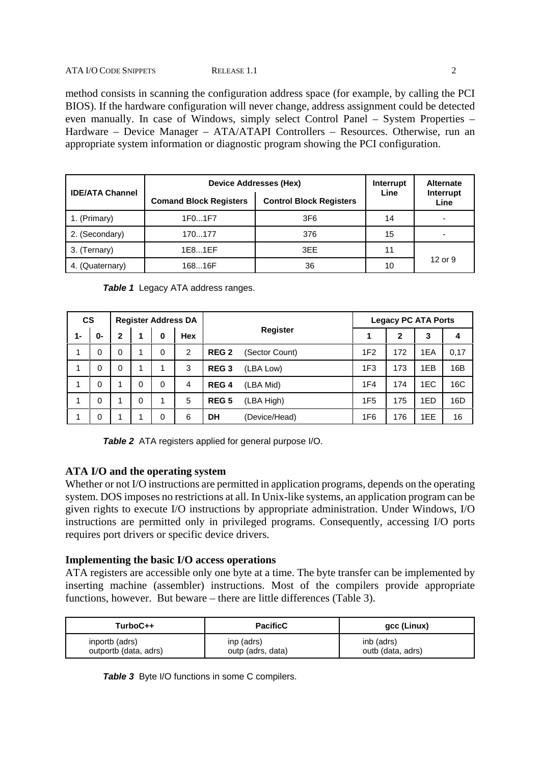#### ATA I/O CODE SNIPPETS RELEASE 1.1 2

method consists in scanning the configuration address space (for example, by calling the PCI BIOS). If the hardware configuration will never change, address assignment could be detected even manually. In case of Windows, simply select Control Panel – System Properties – Hardware – Device Manager – ATA/ATAPI Controllers – Resources. Otherwise, run an appropriate system information or diagnostic program showing the PCI configuration.

|                        | Device Addresses (Hex)                                          | Interrupt | <b>Alternate</b> |                   |  |
|------------------------|-----------------------------------------------------------------|-----------|------------------|-------------------|--|
| <b>IDE/ATA Channel</b> | <b>Control Block Registers</b><br><b>Comand Block Registers</b> |           | Line             | Interrupt<br>Line |  |
| 1. (Primary)           | 1F01F7                                                          | 3F6       | 14               |                   |  |
| 2. (Secondary)         | 170177                                                          | 376       | 15               |                   |  |
| 3. (Ternary)           | 1E81EF                                                          | 3EE       | 11               |                   |  |
| 4. (Quaternary)        | 16816F                                                          | 36        | 10               | 12 or 9           |  |

|  | <b>Table 1</b> Legacy ATA address ranges. |  |  |
|--|-------------------------------------------|--|--|
|--|-------------------------------------------|--|--|

| <b>CS</b> |    |   |   |   | <b>Register Address DA</b> |                  |                 | <b>Legacy PC ATA Ports</b> |              |     |      |
|-----------|----|---|---|---|----------------------------|------------------|-----------------|----------------------------|--------------|-----|------|
| 1-        | 0- | 2 |   | 0 | <b>Hex</b>                 |                  | <b>Register</b> |                            | $\mathbf{2}$ | 3   | 4    |
| 1         | 0  | 0 | 1 | 0 | 2                          | REG <sub>2</sub> | (Sector Count)  | 1F <sub>2</sub>            | 172          | 1EA | 0,17 |
| 1         | 0  | 0 | 1 | 1 | 3                          | <b>REG3</b>      | (LBA Low)       | 1F <sub>3</sub>            | 173          | 1EB | 16B  |
| 1         | 0  |   | 0 | 0 | 4                          | REG <sub>4</sub> | (LBA Mid)       | 1F <sub>4</sub>            | 174          | 1EC | 16C  |
| 4         | 0  |   | 0 |   | 5                          | REG <sub>5</sub> | (LBA High)      | 1F <sub>5</sub>            | 175          | 1ED | 16D  |
| 1         | 0  |   |   | 0 | 6                          | DH               | (Device/Head)   | 1F6                        | 176          | 1EE | 16   |

*Table 2* ATA registers applied for general purpose I/O.

# **ATA I/O and the operating system**

Whether or not I/O instructions are permitted in application programs, depends on the operating system. DOS imposes no restrictions at all. In Unix-like systems, an application program can be given rights to execute I/O instructions by appropriate administration. Under Windows, I/O instructions are permitted only in privileged programs. Consequently, accessing I/O ports requires port drivers or specific device drivers.

# **Implementing the basic I/O access operations**

ATA registers are accessible only one byte at a time. The byte transfer can be implemented by inserting machine (assembler) instructions. Most of the compilers provide appropriate functions, however. But beware – there are little differences (Table 3).

| TurboC++              | <b>PacificC</b>   | gcc (Linux)       |
|-----------------------|-------------------|-------------------|
| inportb (adrs)        | inp (adrs)        | inb (adrs)        |
| outportb (data, adrs) | outp (adrs, data) | outb (data, adrs) |

**Table 3** Byte I/O functions in some C compilers.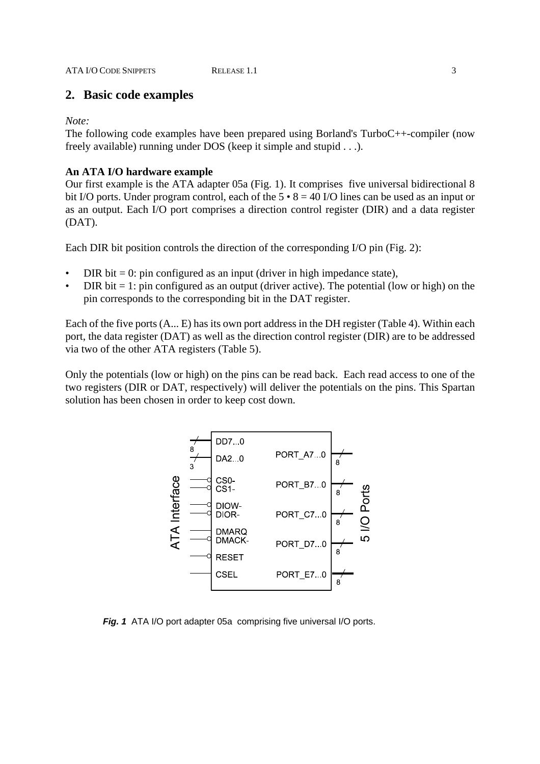# **2. Basic code examples**

*Note:*

The following code examples have been prepared using Borland's TurboC++-compiler (now freely available) running under DOS (keep it simple and stupid . . .).

# **An ATA I/O hardware example**

Our first example is the ATA adapter 05a (Fig. 1). It comprises five universal bidirectional 8 bit I/O ports. Under program control, each of the  $5 \cdot 8 = 40$  I/O lines can be used as an input or as an output. Each I/O port comprises a direction control register (DIR) and a data register (DAT).

Each DIR bit position controls the direction of the corresponding I/O pin (Fig. 2):

- DIR bit  $= 0$ : pin configured as an input (driver in high impedance state),
- DIR bit  $= 1$ : pin configured as an output (driver active). The potential (low or high) on the pin corresponds to the corresponding bit in the DAT register.

Each of the five ports (A... E) has its own port address in the DH register (Table 4). Within each port, the data register (DAT) as well as the direction control register (DIR) are to be addressed via two of the other ATA registers (Table 5).

Only the potentials (low or high) on the pins can be read back. Each read access to one of the two registers (DIR or DAT, respectively) will deliver the potentials on the pins. This Spartan solution has been chosen in order to keep cost down.



*Fig. 1* ATA I/O port adapter 05a comprising five universal I/O ports.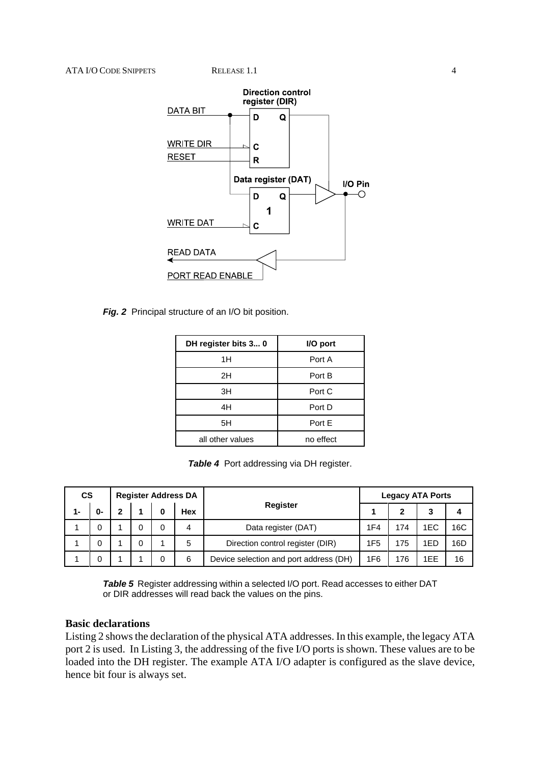

*Fig. 2* Principal structure of an I/O bit position.

| DH register bits 3 0 | I/O port  |
|----------------------|-----------|
| 1H                   | Port A    |
| 2H                   | Port B    |
| 3H                   | Port C    |
| 4H                   | Port D    |
| 5H                   | Port E    |
| all other values     | no effect |

**Table 4** Port addressing via DH register.

| CS    |    | <b>Register Address DA</b> |  |  |     |                                        |                 |     | <b>Legacy ATA Ports</b> |     |
|-------|----|----------------------------|--|--|-----|----------------------------------------|-----------------|-----|-------------------------|-----|
| $1 -$ | 0- | 2                          |  |  | Hex | Register                               |                 | 2   | 2                       |     |
|       | 0  |                            |  |  | 4   | Data register (DAT)                    | 1F4             | 174 | 1EC                     | 16C |
|       | 0  |                            |  |  | 5   | Direction control register (DIR)       | 1F <sub>5</sub> | 175 | 1ED                     | 16D |
|       | 0  |                            |  |  | 6   | Device selection and port address (DH) | 1F6             | 176 | 1EE                     | 16  |

*Table 5* Register addressing within a selected I/O port. Read accesses to either DAT or DIR addresses will read back the values on the pins.

# **Basic declarations**

Listing 2 shows the declaration of the physical ATA addresses. In this example, the legacy ATA port 2 is used. In Listing 3, the addressing of the five I/O ports is shown. These values are to be loaded into the DH register. The example ATA I/O adapter is configured as the slave device, hence bit four is always set.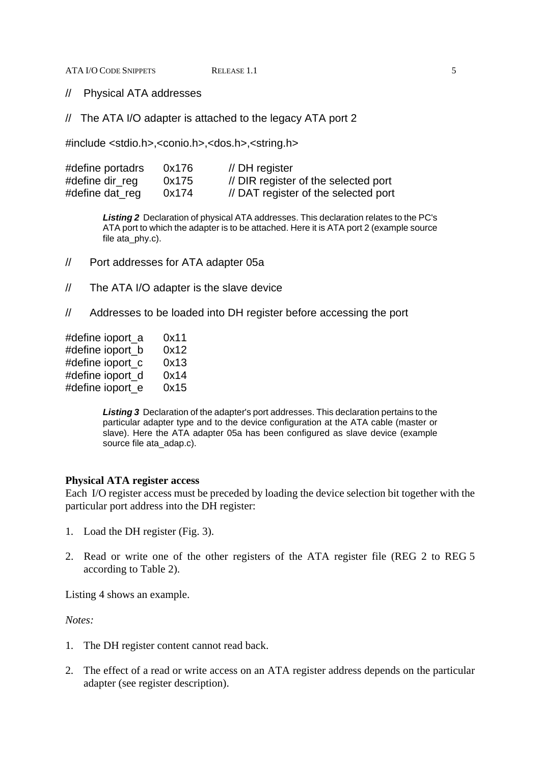ATA I/O CODE SNIPPETS RELEASE 1.1 5

// Physical ATA addresses

// The ATA I/O adapter is attached to the legacy ATA port 2

#include <stdio.h>,<conio.h>,<dos.h>,<string.h>

| #define portadrs | 0x176 | $\text{/}$ DH register               |
|------------------|-------|--------------------------------------|
| #define dir_reg  | 0x175 | // DIR register of the selected port |
| #define dat_reg  | 0x174 | // DAT register of the selected port |

*Listing 2* Declaration of physical ATA addresses. This declaration relates to the PC's ATA port to which the adapter is to be attached. Here it is ATA port 2 (example source file ata\_phy.c).

- // Port addresses for ATA adapter 05a
- // The ATA I/O adapter is the slave device
- // Addresses to be loaded into DH register before accessing the port

| #define ioport_a | 0x11 |
|------------------|------|
| #define ioport_b | 0x12 |
| #define ioport_c | 0x13 |
| #define ioport_d | 0x14 |
| #define ioport_e | 0x15 |
|                  |      |

*Listing 3* Declaration of the adapter's port addresses. This declaration pertains to the particular adapter type and to the device configuration at the ATA cable (master or slave). Here the ATA adapter 05a has been configured as slave device (example source file ata\_adap.c).

### **Physical ATA register access**

Each I/O register access must be preceded by loading the device selection bit together with the particular port address into the DH register:

- 1. Load the DH register (Fig. 3).
- 2. Read or write one of the other registers of the ATA register file (REG 2 to REG 5 according to Table 2).

Listing 4 shows an example.

*Notes:*

- 1. The DH register content cannot read back.
- 2. The effect of a read or write access on an ATA register address depends on the particular adapter (see register description).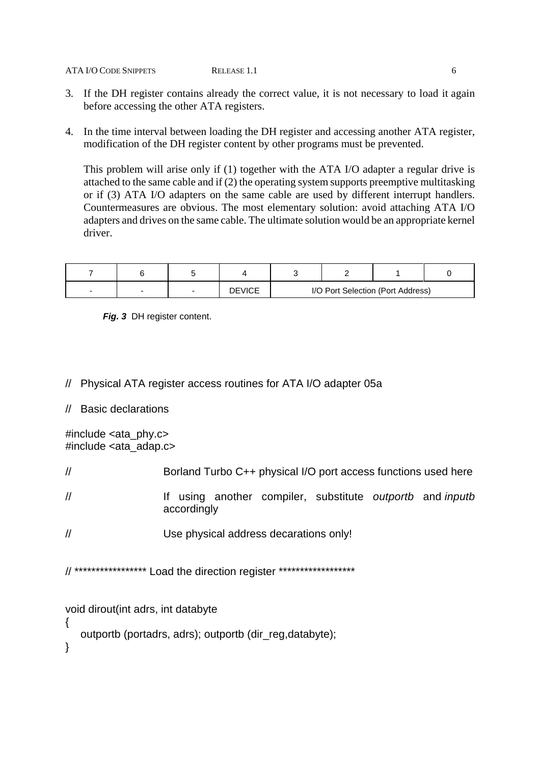#### ATA I/O CODE SNIPPETS RELEASE 1.1 6

- 3. If the DH register contains already the correct value, it is not necessary to load it again before accessing the other ATA registers.
- 4. In the time interval between loading the DH register and accessing another ATA register, modification of the DH register content by other programs must be prevented.

This problem will arise only if (1) together with the ATA I/O adapter a regular drive is attached to the same cable and if (2) the operating system supports preemptive multitasking or if (3) ATA I/O adapters on the same cable are used by different interrupt handlers. Countermeasures are obvious. The most elementary solution: avoid attaching ATA I/O adapters and drives on the same cable. The ultimate solution would be an appropriate kernel driver.

|  | <b>DEVICE</b> |  | I/O Port Selection (Port Address) |  |
|--|---------------|--|-----------------------------------|--|

*Fig. 3* DH register content.

- // Physical ATA register access routines for ATA I/O adapter 05a
- // Basic declarations

 $\#$ include <ata\_phy.c> #include <ata\_adap.c>

- // Borland Turbo C++ physical I/O port access functions used here
- // If using another compiler, substitute *outportb* and *inputb* accordingly
- // Use physical address decarations only!

// \*\*\*\*\*\*\*\*\*\*\*\*\*\*\*\*\* Load the direction register \*\*\*\*\*\*\*\*\*\*\*\*\*\*\*\*\*\*

void dirout(int adrs, int databyte

- outportb (portadrs, adrs); outportb (dir\_reg,databyte);
- }

{

- 
-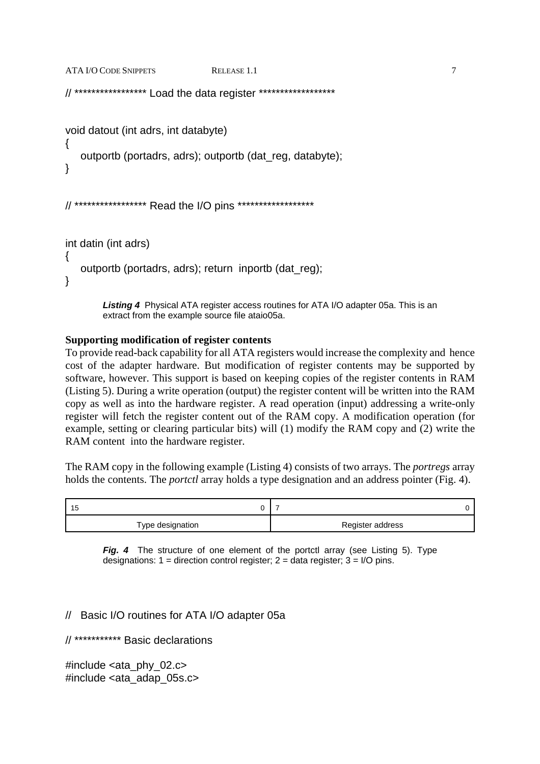```
ATA I/O CODE SNIPPETS RELEASE 1.1 7
// ***************** Load the data register ******************
void datout (int adrs, int databyte) 
{
    outportb (portadrs, adrs); outportb (dat_reg, databyte);
}
// ***************** Read the I/O pins ******************
int datin (int adrs) 
\{ outportb (portadrs, adrs); return inportb (dat_reg);
}
```
*Listing 4* Physical ATA register access routines for ATA I/O adapter 05a. This is an extract from the example source file ataio05a.

# **Supporting modification of register contents**

To provide read-back capability for all ATA registers would increase the complexity and hence cost of the adapter hardware. But modification of register contents may be supported by software, however. This support is based on keeping copies of the register contents in RAM (Listing 5). During a write operation (output) the register content will be written into the RAM copy as well as into the hardware register. A read operation (input) addressing a write-only register will fetch the register content out of the RAM copy. A modification operation (for example, setting or clearing particular bits) will (1) modify the RAM copy and (2) write the RAM content into the hardware register.

The RAM copy in the following example (Listing 4) consists of two arrays. The *portregs* array holds the contents. The *portctl* array holds a type designation and an address pointer (Fig. 4).

| 15               |                  |
|------------------|------------------|
| Type designation | Register address |

*Fig. 4* The structure of one element of the portctl array (see Listing 5). Type designations:  $1 =$  direction control register;  $2 =$  data register;  $3 =$  I/O pins.

# // Basic I/O routines for ATA I/O adapter 05a

// \*\*\*\*\*\*\*\*\*\*\* Basic declarations

#include <ata\_phy\_02.c> #include <ata\_adap\_05s.c>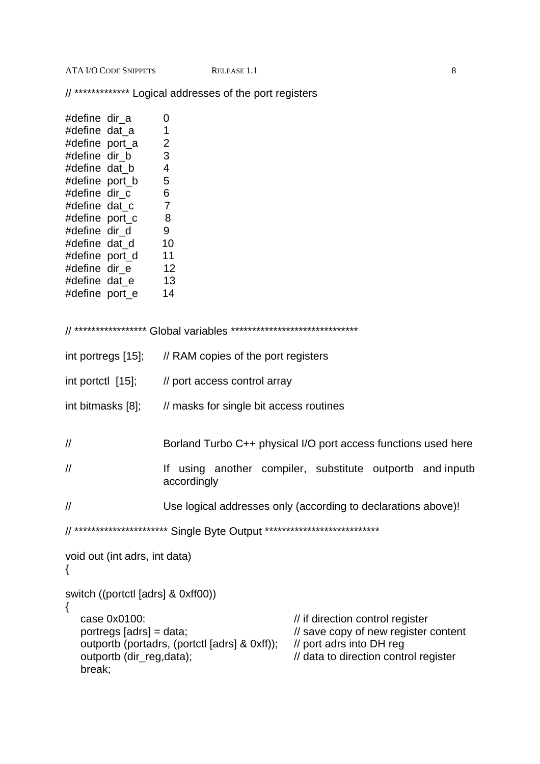**ATA I/O CODE SNIPPETS** 

// \*\*\*\*\*\*\*\*\*\*\*\*\* Logical addresses of the port registers

| #define dir_a<br>#define dat a<br>#define port_a<br>#define dir_b<br>#define dat b<br>#define port_b<br>#define dir_c<br>#define dat_c<br>#define port_c<br>#define dir_d<br>#define dat_d<br>#define port_d<br>#define dir_e |    | 0<br>$\mathbf 1$<br>$\overline{2}$<br>3<br>$\overline{\mathcal{A}}$<br>5<br>$\,6$<br>$\overline{7}$<br>8<br>9<br>10<br>11<br>12 |
|-------------------------------------------------------------------------------------------------------------------------------------------------------------------------------------------------------------------------------|----|---------------------------------------------------------------------------------------------------------------------------------|
| #define dat_e                                                                                                                                                                                                                 | 13 |                                                                                                                                 |
| #define port_e                                                                                                                                                                                                                |    | 14<br>// ***************** Global variables ******************************                                                      |
| int portregs [15];                                                                                                                                                                                                            |    | // RAM copies of the port registers                                                                                             |
|                                                                                                                                                                                                                               |    | int portctl [15]; // port access control array                                                                                  |
| int bitmasks [8];                                                                                                                                                                                                             |    | // masks for single bit access routines                                                                                         |
| $^{\prime\prime}$                                                                                                                                                                                                             |    | Borland Turbo C++ physical I/O port access functions used here                                                                  |
| $^{\prime\prime}$                                                                                                                                                                                                             |    | If using another compiler, substitute outportb and inputb<br>accordingly                                                        |
| $\prime\prime$                                                                                                                                                                                                                |    | Use logical addresses only (according to declarations above)!                                                                   |
|                                                                                                                                                                                                                               |    | ************************ Single Byte Output ****************************                                                        |
| void out (int adrs, int data)<br>{                                                                                                                                                                                            |    |                                                                                                                                 |

switch ((portctl [adrs] & 0xff00))

```
\{// if direction control register
   case 0x0100:
                                                        // save copy of new register content<br>// port adrs into DH reg
   portregs [adrs] = data;
   outportb (portadrs, (portctl [adrs] & 0xff));
   outportb (dir_reg,data);
                                                        // data to direction control register
   break;
```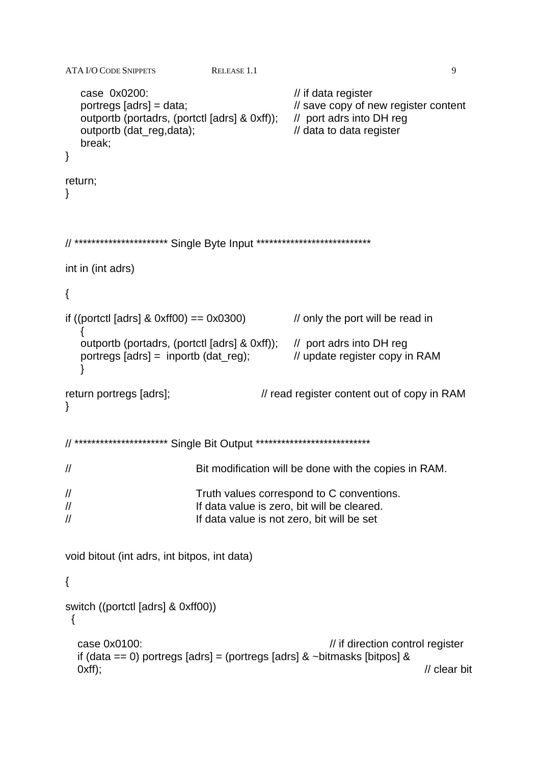```
\overline{Q}ATA I/O CODE SNIPPETS
                                  RELEASE 1.1
   case 0x0200:
                                                      // if data register
   portregs [adrs] = data;
                                                      // save copy of new register content
   outportb (portadrs, (portctl [adrs] & 0xff));
                                                      // port adrs into DH reg
   outportb (dat_reg,data);
                                                      // data to data register
   break;
\}return;
\}// ********************** Single Byte Input ***************************
int in (int adrs)
\left\{ \right.if ((portctl [adrs] \& 0xff00) = 0x0300) \qquad // only the port will be read in
   \{outportb (portadrs, (portctl [adrs] & 0xff)); // port adrs into DH reg
                                                      // update register copy in RAM
   portregs [adrs] = inportb (dd_{reg});
   Y
return portregs [adrs];
                                              // read register content out of copy in RAM
\mathcal{E}// ********************** Single Bit Output ***************************
\prime\primeBit modification will be done with the copies in RAM.
\mathcal{U}Truth values correspond to C conventions.
\frac{1}{2}If data value is zero, bit will be cleared.
                               If data value is not zero, bit will be set
\mathcal{U}void bitout (int adrs, int bitpos, int data)
\{switch ((portctl [adrs] & 0xff00))
 \{// if direction control register
   case 0x0100:
   if (data == 0) portregs [adrs] = (portregs [adrs] & ~bitmasks [bitpos] &
   Oxf;
                                                                                     \prime\prime clear bit
```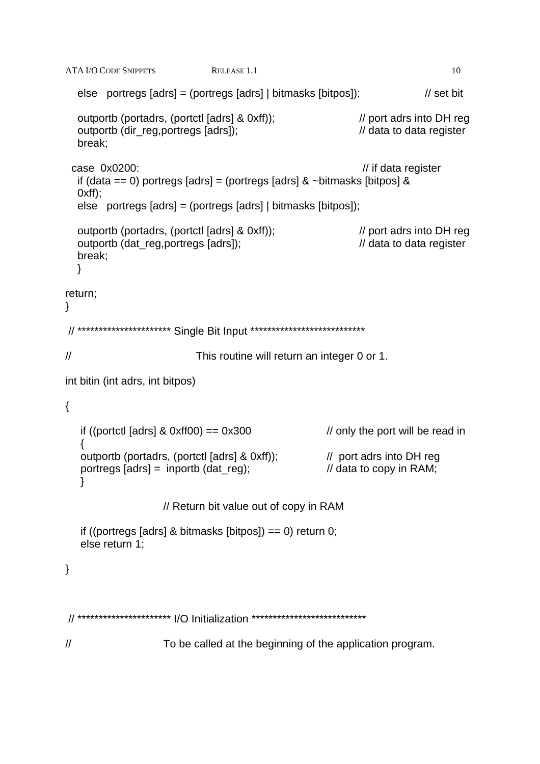```
10
ATA I/O CODE SNIPPETS
                                 RELEASE 1.1
   else portregs [adrs] = (portregs [adrs] | bitmasks [bitpos]);
                                                                                 \frac{1}{3} set bit
   outportb (portadrs, (portctl [adrs] & 0xff));
                                                                  // port adrs into DH reg
   outportb (dir_reg,portregs [adrs]);
                                                                   // data to data register
   break;
 case 0x0200:
                                                                   // if data register
   if (data == 0) portregs [adrs] = (portregs [adrs] & ~bitmasks [bitpos] &
  Oxff);
  else portregs [adrs] = (portregs [adrs] | bitmasks [bitpos]);
  outportb (portadrs, (portctl [adrs] & 0xff));
                                                                  // port adrs into DH reg
   outportb (dat reg.portregs [adrs]);
                                                                  // data to data register
  break;
  \}return;
\mathcal{E}// ********************** Single Bit Input ***************************
\frac{1}{2}This routine will return an integer 0 or 1.
int bitin (int adrs, int bitpos)
\left\{ \right.if ((portctl [adrs] & 0xff00) == 0x300
                                                         // only the port will be read in
   outportb (portadrs, (portctl [adrs] & 0xff)); // port adrs into DH reg
                                                           // data to copy in RAM;
   portregs [adrs] = inportb (dat_reg);
   ł
                      // Return bit value out of copy in RAM
   if ((portregs [adrs] & bitmasks [bitpos]) == 0) return 0;
   else return 1;
\mathcal{E}// ********************** |/O Initialization ****************************
\frac{1}{2}To be called at the beginning of the application program.
```